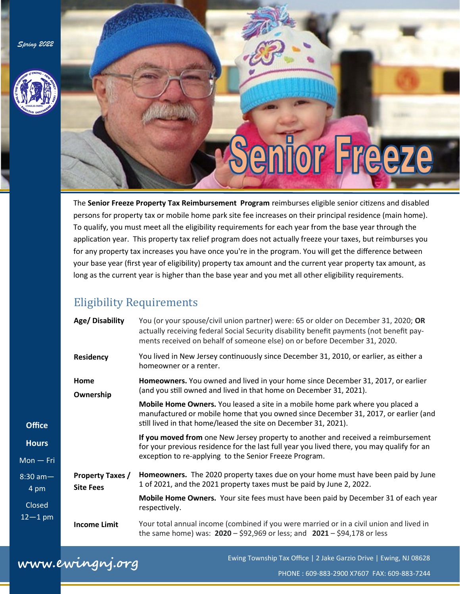*Spring 2022*



# **Senior Freeze**

The **Senior Freeze Property Tax Reimbursement Program** reimburses eligible senior citizens and disabled persons for property tax or mobile home park site fee increases on their principal residence (main home). To qualify, you must meet all the eligibility requirements for each year from the base year through the application year. This property tax relief program does not actually freeze your taxes, but reimburses you for any property tax increases you have once you're in the program. You will get the difference between your base year (first year of eligibility) property tax amount and the current year property tax amount, as long as the current year is higher than the base year and you met all other eligibility requirements.

#### Eligibility Requirements

| Age/Disability                              | You (or your spouse/civil union partner) were: 65 or older on December 31, 2020; OR<br>actually receiving federal Social Security disability benefit payments (not benefit pay-<br>ments received on behalf of someone else) on or before December 31, 2020. |
|---------------------------------------------|--------------------------------------------------------------------------------------------------------------------------------------------------------------------------------------------------------------------------------------------------------------|
| Residency                                   | You lived in New Jersey continuously since December 31, 2010, or earlier, as either a<br>homeowner or a renter.                                                                                                                                              |
| Home<br>Ownership                           | Homeowners. You owned and lived in your home since December 31, 2017, or earlier<br>(and you still owned and lived in that home on December 31, 2021).                                                                                                       |
|                                             | Mobile Home Owners. You leased a site in a mobile home park where you placed a<br>manufactured or mobile home that you owned since December 31, 2017, or earlier (and<br>still lived in that home/leased the site on December 31, 2021).                     |
|                                             | If you moved from one New Jersey property to another and received a reimbursement<br>for your previous residence for the last full year you lived there, you may qualify for an<br>exception to re-applying to the Senior Freeze Program.                    |
| <b>Property Taxes /</b><br><b>Site Fees</b> | Homeowners. The 2020 property taxes due on your home must have been paid by June<br>1 of 2021, and the 2021 property taxes must be paid by June 2, 2022.                                                                                                     |
|                                             | Mobile Home Owners. Your site fees must have been paid by December 31 of each year<br>respectively.                                                                                                                                                          |
| <b>Income Limit</b>                         | Your total annual income (combined if you were married or in a civil union and lived in<br>the same home) was: $2020 - 592,969$ or less; and $2021 - 594,178$ or less                                                                                        |

## **www.ewingnj.org**

**Office** 

**Hours**

 $Mon - F$ 

8:30 am— 4 pm

Closed  $12 - 1$  pn

Ewing Township Tax Office | 2 Jake Garzio Drive | Ewing, NJ 08628

PHONE : 609-883-2900 X7607 FAX: 609-883-7244